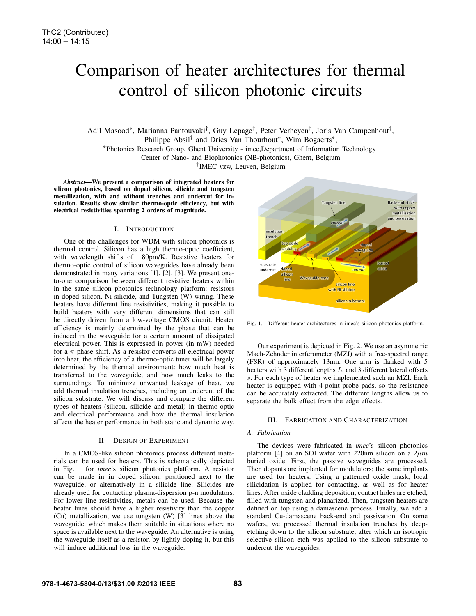# Comparison of heater architectures for thermal control of silicon photonic circuits

Adil Masood∗, Marianna Pantouvaki†, Guy Lepage†, Peter Verheyen†, Joris Van Campenhout†,

Philippe Absil<sup>†</sup> and Dries Van Thourhout<sup>∗</sup>, Wim Bogaerts<sup>∗</sup>, \*Photonics Research Group, Ghent University - imec,Department of Information Technology

Center of Nano- and Biophotonics (NB-photonics), Ghent, Belgium

†IMEC vzw, Leuven, Belgium

*Abstract*—We present a comparison of integrated heaters for silicon photonics, based on doped silicon, silicide and tungsten metallization, with and without trenches and undercut for insulation. Results show similar thermo-optic efficiency, but with electrical resistivities spanning 2 orders of magnitude.

## I. INTRODUCTION

One of the challenges for WDM with silicon photonics is thermal control. Silicon has a high thermo-optic coefficient, with wavelength shifts of 80pm/K. Resistive heaters for thermo-optic control of silicon waveguides have already been demonstrated in many variations [1], [2], [3]. We present oneto-one comparison between different resistive heaters within in the same silicon photonics technology platform: resistors in doped silicon, Ni-silicide, and Tungsten (W) wiring. These heaters have different line resistivities, making it possible to build heaters with very different dimensions that can still be directly driven from a low-voltage CMOS circuit. Heater efficiency is mainly determined by the phase that can be induced in the waveguide for a certain amount of dissipated electrical power. This is expressed in power (in mW) needed for a  $\pi$  phase shift. As a resistor converts all electrical power into heat, the efficiency of a thermo-optic tuner will be largely determined by the thermal environment: how much heat is transferred to the waveguide, and how much leaks to the surroundings. To minimize unwanted leakage of heat, we add thermal insulation trenches, including an undercut of the silicon substrate. We will discuss and compare the different types of heaters (silicon, silicide and metal) in thermo-optic and electrical performance and how the thermal insulation affects the heater performance in both static and dynamic way.

### II. DESIGN OF EXPERIMENT

In a CMOS-like silicon photonics process different materials can be used for heaters. This is schematically depicted in Fig. 1 for *imec*'s silicon photonics platform. A resistor can be made in in doped silicon, positioned next to the waveguide, or alternatively in a silicide line. Silicides are already used for contacting plasma-dispersion p-n modulators. For lower line resistivities, metals can be used. Because the heater lines should have a higher resistivity than the copper (Cu) metallization, we use tungsten (W) [3] lines above the waveguide, which makes them suitable in situations where no space is available next to the waveguide. An alternative is using the waveguide itself as a resistor, by lightly doping it, but this will induce additional loss in the waveguide.



Fig. 1. Different heater architectures in imec's silicon photonics platform.

Our experiment is depicted in Fig. 2. We use an asymmetric Mach-Zehnder interferometer (MZI) with a free-spectral range (FSR) of approximately 13nm. One arm is flanked with 5 heaters with  $\overline{3}$  different lengths  $L$ , and  $\overline{3}$  different lateral offsets s. For each type of heater we implemented such an MZI. Each heater is equipped with 4-point probe pads, so the resistance can be accurately extracted. The different lengths allow us to separate the bulk effect from the edge effects.

### III. FABRICATION AND CHARACTERIZATION

### *A. Fabrication*

The devices were fabricated in *imec*'s silicon photonics platform [4] on an SOI wafer with 220nm silicon on a  $2\mu m$ buried oxide. First, the passive waveguides are processed. Then dopants are implanted for modulators; the same implants are used for heaters. Using a patterned oxide mask, local silicidation is applied for contacting, as well as for heater lines. After oxide cladding deposition, contact holes are etched, filled with tungsten and planarized. Then, tungsten heaters are defined on top using a damascene process. Finally, we add a standard Cu-damascene back-end and passivation. On some wafers, we processed thermal insulation trenches by deepetching down to the silicon substrate, after which an isotropic selective silicon etch was applied to the silicon substrate to undercut the waveguides.